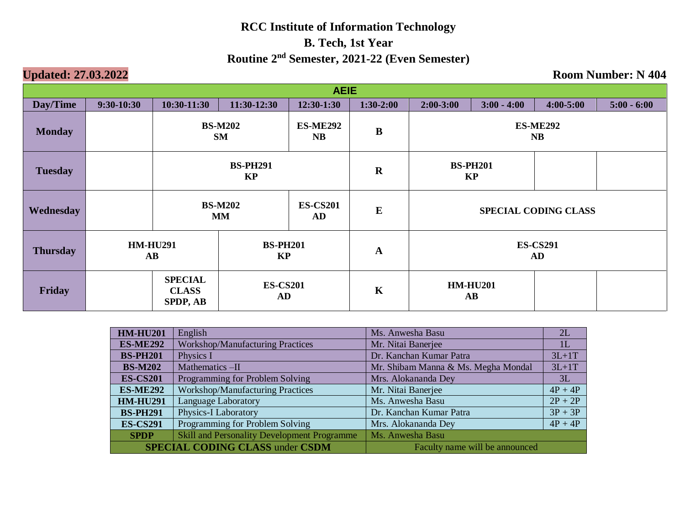| <b>AEIE</b>     |              |                                                                           |                              |                        |             |                                               |                             |  |               |  |  |
|-----------------|--------------|---------------------------------------------------------------------------|------------------------------|------------------------|-------------|-----------------------------------------------|-----------------------------|--|---------------|--|--|
| Day/Time        | $9:30-10:30$ | $10:30-11:30$                                                             | 11:30-12:30                  | 12:30-1:30             | $1:30-2:00$ | $3:00 - 4:00$<br>$4:00 - 5:00$<br>$2:00-3:00$ |                             |  | $5:00 - 6:00$ |  |  |
| <b>Monday</b>   |              | <b>BS-M202</b><br><b>ES-ME292</b><br><b>SM</b><br>NB                      |                              |                        | $\bf{B}$    | <b>ES-ME292</b><br><b>NB</b>                  |                             |  |               |  |  |
| <b>Tuesday</b>  |              |                                                                           | <b>BS-PH291</b><br><b>KP</b> |                        | $\mathbf R$ | <b>BS-PH201</b><br><b>KP</b>                  |                             |  |               |  |  |
| Wednesday       |              |                                                                           | <b>BS-M202</b><br><b>MM</b>  | <b>ES-CS201</b><br>AD. | $\bf{E}$    |                                               | <b>SPECIAL CODING CLASS</b> |  |               |  |  |
| <b>Thursday</b> |              | <b>HM-HU291</b><br><b>BS-PH201</b><br><b>KP</b><br>$\mathbf{A}\mathbf{B}$ |                              |                        | $\mathbf A$ | <b>ES-CS291</b><br>AD                         |                             |  |               |  |  |
| Friday          |              | <b>SPECIAL</b><br><b>CLASS</b><br>SPDP, AB                                | <b>ES-CS201</b><br>AD        |                        | K           | <b>HM-HU201</b><br>$\mathbf{A}\mathbf{B}$     |                             |  |               |  |  |

| <b>HM-HU201</b> | English                                            | Ms. Anwesha Basu                    | 2L        |
|-----------------|----------------------------------------------------|-------------------------------------|-----------|
| <b>ES-ME292</b> | <b>Workshop/Manufacturing Practices</b>            | Mr. Nitai Banerjee                  | 1L        |
| <b>BS-PH201</b> | Physics I                                          | Dr. Kanchan Kumar Patra             | $3L+1T$   |
| <b>BS-M202</b>  | Mathematics -II                                    | Mr. Shibam Manna & Ms. Megha Mondal | $3L+1T$   |
| <b>ES-CS201</b> | Programming for Problem Solving                    | Mrs. Alokananda Dey                 | 3L        |
| <b>ES-ME292</b> | <b>Workshop/Manufacturing Practices</b>            | Mr. Nitai Banerjee                  | $4P + 4P$ |
| <b>HM-HU291</b> | <b>Language Laboratory</b>                         | Ms. Anwesha Basu                    | $2P + 2P$ |
| <b>BS-PH291</b> | Physics-I Laboratory                               | Dr. Kanchan Kumar Patra             | $3P + 3P$ |
| <b>ES-CS291</b> | Programming for Problem Solving                    | Mrs. Alokananda Dey                 | $4P + 4P$ |
| <b>SPDP</b>     | <b>Skill and Personality Development Programme</b> | Ms. Anwesha Basu                    |           |
|                 | <b>SPECIAL CODING CLASS under CSDM</b>             | Faculty name will be announced      |           |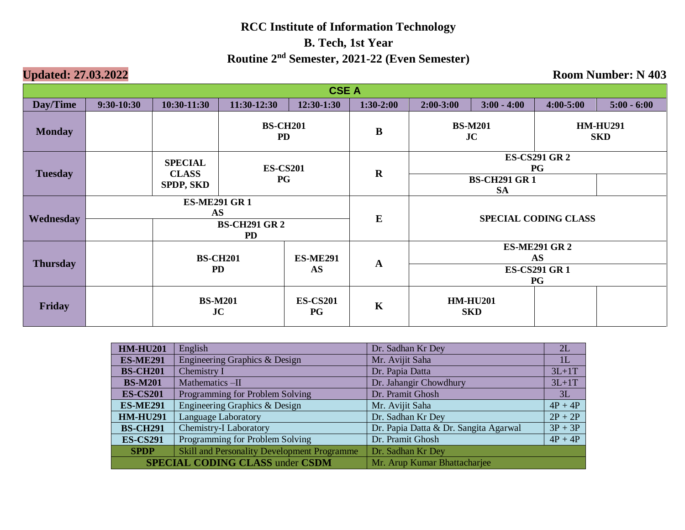| <b>CSE A</b>    |              |                                                                       |                              |                 |                                                                        |                                                                       |                                                              |               |               |  |
|-----------------|--------------|-----------------------------------------------------------------------|------------------------------|-----------------|------------------------------------------------------------------------|-----------------------------------------------------------------------|--------------------------------------------------------------|---------------|---------------|--|
| Day/Time        | $9:30-10:30$ | 10:30-11:30                                                           | $11:30-12:30$                | $12:30-1:30$    | $1:30-2:00$                                                            | $2:00-3:00$                                                           | $3:00 - 4:00$                                                | $4:00 - 5:00$ | $5:00 - 6:00$ |  |
| <b>Monday</b>   |              |                                                                       | <b>BS-CH201</b><br><b>PD</b> |                 | B                                                                      |                                                                       | <b>BS-M201</b><br><b>HM-HU291</b><br><b>JC</b><br><b>SKD</b> |               |               |  |
| <b>Tuesday</b>  |              | <b>SPECIAL</b><br><b>CLASS</b><br><b>SPDP, SKD</b>                    | <b>ES-CS201</b><br><b>PG</b> |                 | $\mathbf R$                                                            | <b>ES-CS291 GR 2</b><br><b>PG</b><br><b>BS-CH291 GR1</b><br><b>SA</b> |                                                              |               |               |  |
| Wednesday       |              | <b>ES-ME291 GR1</b><br><b>AS</b><br><b>BS-CH291 GR 2</b><br><b>PD</b> |                              |                 | $\bf{E}$                                                               | <b>SPECIAL CODING CLASS</b>                                           |                                                              |               |               |  |
| <b>Thursday</b> |              | <b>BS-CH201</b><br><b>ES-ME291</b><br><b>PD</b><br><b>AS</b>          |                              | $\mathbf A$     | <b>ES-ME291 GR 2</b><br><b>AS</b><br><b>ES-CS291 GR 1</b><br><b>PG</b> |                                                                       |                                                              |               |               |  |
| Friday          |              | <b>BS-M201</b><br>JC<br><b>PG</b>                                     |                              | <b>ES-CS201</b> | $\mathbf K$                                                            |                                                                       | <b>HM-HU201</b><br><b>SKD</b>                                |               |               |  |

| <b>HM-HU201</b> | English                                            | Dr. Sadhan Kr Dey                     | 2L             |
|-----------------|----------------------------------------------------|---------------------------------------|----------------|
| <b>ES-ME291</b> | Engineering Graphics & Design                      | Mr. Avijit Saha                       | 1 <sub>L</sub> |
| <b>BS-CH201</b> | Chemistry I                                        | Dr. Papia Datta                       | $3L+1T$        |
| <b>BS-M201</b>  | Mathematics -II                                    | Dr. Jahangir Chowdhury                | $3L+1T$        |
| <b>ES-CS201</b> | Programming for Problem Solving                    | Dr. Pramit Ghosh                      | 3L             |
| <b>ES-ME291</b> | Engineering Graphics & Design                      | Mr. Avijit Saha                       | $4P + 4P$      |
| <b>HM-HU291</b> | <b>Language Laboratory</b>                         | Dr. Sadhan Kr Dey                     | $2P + 2P$      |
| <b>BS-CH291</b> | Chemistry-I Laboratory                             | Dr. Papia Datta & Dr. Sangita Agarwal | $3P + 3P$      |
| <b>ES-CS291</b> | Programming for Problem Solving                    | Dr. Pramit Ghosh                      | $4P + 4P$      |
| <b>SPDP</b>     | <b>Skill and Personality Development Programme</b> | Dr. Sadhan Kr Dey                     |                |
|                 | <b>SPECIAL CODING CLASS under CSDM</b>             | Mr. Arup Kumar Bhattacharjee          |                |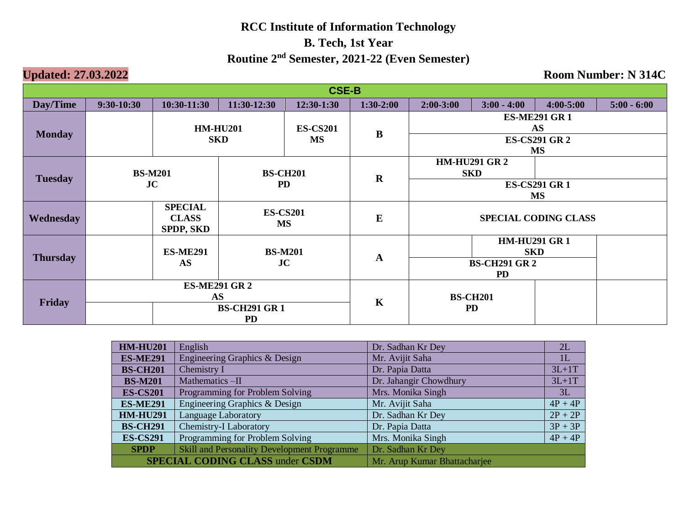| <b>CSE-B</b>    |                 |                                             |                                  |                 |                                   |                                   |                                    |                                   |               |  |  |
|-----------------|-----------------|---------------------------------------------|----------------------------------|-----------------|-----------------------------------|-----------------------------------|------------------------------------|-----------------------------------|---------------|--|--|
| Day/Time        | $9:30 - 10:30$  | $10:30-11:30$                               | 11:30-12:30                      | $12:30-1:30$    | $1:30-2:00$                       | $2:00-3:00$                       | $3:00 - 4:00$                      | $4:00 - 5:00$                     | $5:00 - 6:00$ |  |  |
| <b>Monday</b>   | <b>HM-HU201</b> |                                             |                                  | <b>ES-CS201</b> | $\bf{B}$                          | <b>ES-ME291 GR1</b><br><b>AS</b>  |                                    |                                   |               |  |  |
|                 |                 |                                             | <b>SKD</b>                       | <b>MS</b>       | <b>ES-CS291 GR 2</b><br><b>MS</b> |                                   |                                    |                                   |               |  |  |
|                 |                 | <b>BS-M201</b>                              |                                  | <b>BS-CH201</b> | $\mathbf R$                       |                                   | <b>HM-HU291 GR 2</b><br><b>SKD</b> |                                   |               |  |  |
| <b>Tuesday</b>  |                 | JC<br><b>PD</b>                             |                                  |                 |                                   |                                   |                                    | <b>ES-CS291 GR1</b><br><b>MS</b>  |               |  |  |
| Wednesday       |                 | <b>SPECIAL</b><br><b>CLASS</b><br>SPDP, SKD | <b>ES-CS201</b><br><b>MS</b>     |                 | E                                 |                                   | <b>SPECIAL CODING CLASS</b>        |                                   |               |  |  |
|                 |                 | <b>ES-ME291</b>                             |                                  | <b>BS-M201</b>  |                                   |                                   |                                    | <b>HM-HU291 GR1</b><br><b>SKD</b> |               |  |  |
| <b>Thursday</b> |                 | <b>AS</b>                                   |                                  | JC              | $\mathbf A$                       | <b>BS-CH291 GR 2</b><br><b>PD</b> |                                    |                                   |               |  |  |
| Friday          |                 | <b>ES-ME291 GR 2</b><br><b>AS</b>           |                                  |                 |                                   |                                   | <b>BS-CH201</b>                    |                                   |               |  |  |
|                 |                 |                                             | <b>BS-CH291 GR1</b><br><b>PD</b> |                 | $\mathbf K$                       |                                   | <b>PD</b>                          |                                   |               |  |  |

| <b>HM-HU201</b> | English                                            | Dr. Sadhan Kr Dey            | 2L        |
|-----------------|----------------------------------------------------|------------------------------|-----------|
| <b>ES-ME291</b> | Engineering Graphics & Design                      | Mr. Avijit Saha              | 1L        |
| <b>BS-CH201</b> | Chemistry I                                        | Dr. Papia Datta              | $3L+1T$   |
| <b>BS-M201</b>  | Mathematics-II                                     | Dr. Jahangir Chowdhury       | $3L+1T$   |
| <b>ES-CS201</b> | Programming for Problem Solving                    | Mrs. Monika Singh            | 3L        |
| <b>ES-ME291</b> | Engineering Graphics & Design                      | Mr. Avijit Saha              | $4P + 4P$ |
| <b>HM-HU291</b> | <b>Language Laboratory</b>                         | Dr. Sadhan Kr Dey            | $2P + 2P$ |
| <b>BS-CH291</b> | <b>Chemistry-I Laboratory</b>                      | Dr. Papia Datta              | $3P + 3P$ |
| <b>ES-CS291</b> | Programming for Problem Solving                    | Mrs. Monika Singh            | $4P + 4P$ |
| <b>SPDP</b>     | <b>Skill and Personality Development Programme</b> | Dr. Sadhan Kr Dey            |           |
|                 | <b>SPECIAL CODING CLASS under CSDM</b>             | Mr. Arup Kumar Bhattacharjee |           |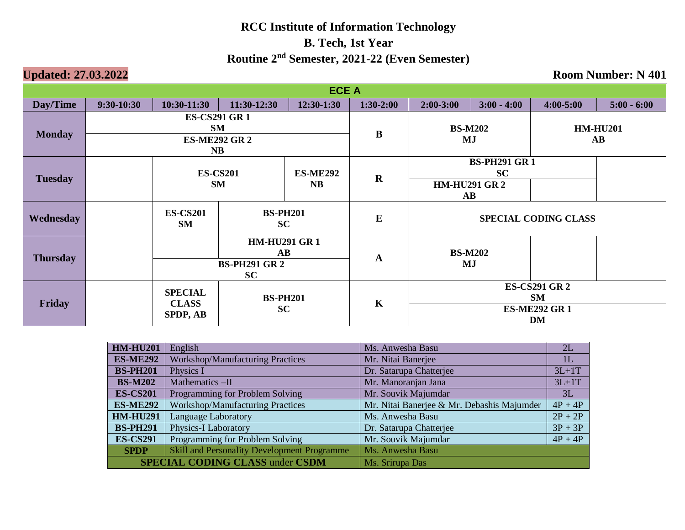| <b>ECE A</b>    |                |                                   |                                               |                 |                                   |                                  |                                               |                             |                        |  |
|-----------------|----------------|-----------------------------------|-----------------------------------------------|-----------------|-----------------------------------|----------------------------------|-----------------------------------------------|-----------------------------|------------------------|--|
| Day/Time        | $9:30-10:30$   | $10:30-11:30$                     | 11:30-12:30                                   | 12:30-1:30      | $1:30-2:00$                       | $2:00-3:00$                      | $3:00 - 4:00$                                 | $4:00 - 5:00$               | $5:00 - 6:00$          |  |
| <b>Monday</b>   |                | <b>ES-CS291 GR 1</b><br><b>SM</b> |                                               |                 | $\bf{B}$                          | <b>BS-M202</b>                   |                                               |                             | <b>HM-HU201</b>        |  |
|                 |                | <b>ES-ME292 GR 2</b><br><b>NB</b> |                                               |                 |                                   |                                  | MJ                                            |                             | $\mathbf{A}\mathbf{B}$ |  |
| <b>Tuesday</b>  |                | <b>ES-CS201</b>                   |                                               | <b>ES-ME292</b> | $\mathbf R$                       | <b>BS-PH291 GR1</b><br><b>SC</b> |                                               |                             |                        |  |
|                 |                | <b>SM</b>                         |                                               | <b>NB</b>       |                                   |                                  | <b>HM-HU291 GR2</b><br>$\mathbf{A}\mathbf{B}$ |                             |                        |  |
| Wednesday       |                | <b>ES-CS201</b><br><b>SM</b>      | <b>BS-PH201</b><br>SC                         |                 | E                                 |                                  |                                               | <b>SPECIAL CODING CLASS</b> |                        |  |
| <b>Thursday</b> |                |                                   | <b>HM-HU291 GR1</b><br>$\mathbf{A}\mathbf{B}$ |                 | $\mathbf A$                       |                                  | <b>BS-M202</b>                                |                             |                        |  |
|                 |                | <b>BS-PH291 GR2</b><br><b>SC</b>  |                                               |                 |                                   | MJ                               |                                               |                             |                        |  |
| Friday          | <b>SPECIAL</b> | <b>BS-PH201</b>                   |                                               |                 | <b>ES-CS291 GR 2</b><br><b>SM</b> |                                  |                                               |                             |                        |  |
|                 |                | <b>CLASS</b><br><b>SPDP, AB</b>   | <b>SC</b>                                     |                 | K                                 | <b>ES-ME292 GR1</b><br><b>DM</b> |                                               |                             |                        |  |

| <b>HM-HU201</b> | English                                            | Ms. Anwesha Basu                           | 2L             |
|-----------------|----------------------------------------------------|--------------------------------------------|----------------|
| <b>ES-ME292</b> | <b>Workshop/Manufacturing Practices</b>            | Mr. Nitai Banerjee                         | 1 <sub>L</sub> |
| <b>BS-PH201</b> | Physics I                                          | Dr. Satarupa Chatterjee                    | $3L+1T$        |
| <b>BS-M202</b>  | Mathematics -II                                    | Mr. Manoranjan Jana                        | $3L+1T$        |
| <b>ES-CS201</b> | Programming for Problem Solving                    | Mr. Souvik Majumdar                        | 3L             |
| <b>ES-ME292</b> | Workshop/Manufacturing Practices                   | Mr. Nitai Banerjee & Mr. Debashis Majumder | $4P + 4P$      |
| <b>HM-HU291</b> | <b>Language Laboratory</b>                         | Ms. Anwesha Basu                           | $2P + 2P$      |
| <b>BS-PH291</b> | <b>Physics-I Laboratory</b>                        | Dr. Satarupa Chatterjee                    | $3P + 3P$      |
| <b>ES-CS291</b> | Programming for Problem Solving                    | Mr. Souvik Majumdar                        | $4P + 4P$      |
| <b>SPDP</b>     | <b>Skill and Personality Development Programme</b> | Ms. Anwesha Basu                           |                |
|                 | <b>SPECIAL CODING CLASS under CSDM</b>             | Ms. Srirupa Das                            |                |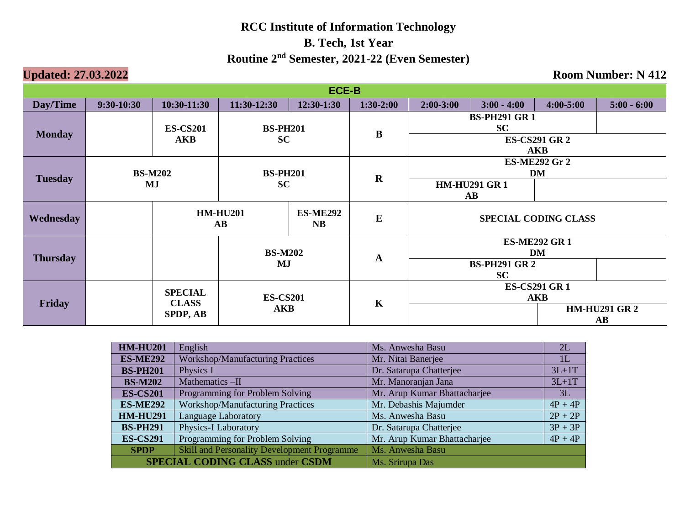| <b>ECE-B</b>    |                                        |                                                                           |                 |            |                             |                                    |                                               |                                  |               |  |
|-----------------|----------------------------------------|---------------------------------------------------------------------------|-----------------|------------|-----------------------------|------------------------------------|-----------------------------------------------|----------------------------------|---------------|--|
| Day/Time        | $9:30-10:30$                           | $10:30-11:30$                                                             | 11:30-12:30     | 12:30-1:30 | $1:30-2:00$                 | $2:00-3:00$                        | $3:00 - 4:00$                                 | $4:00 - 5:00$                    | $5:00 - 6:00$ |  |
| <b>Monday</b>   | <b>ES-CS201</b>                        |                                                                           | <b>BS-PH201</b> |            | $\bf{B}$                    |                                    | <b>BS-PH291 GR1</b><br>SC                     |                                  |               |  |
|                 |                                        | <b>AKB</b>                                                                | <b>SC</b>       |            |                             | <b>ES-CS291 GR 2</b><br><b>AKB</b> |                                               |                                  |               |  |
|                 |                                        | <b>BS-M202</b><br><b>BS-PH201</b>                                         |                 |            | $\mathbf R$                 | <b>ES-ME292 Gr 2</b><br><b>DM</b>  |                                               |                                  |               |  |
| <b>Tuesday</b>  |                                        | <b>SC</b><br>MJ                                                           |                 |            |                             |                                    | <b>HM-HU291 GR1</b><br>$\mathbf{A}\mathbf{B}$ |                                  |               |  |
| Wednesday       |                                        | <b>HM-HU201</b><br><b>ES-ME292</b><br>$\mathbf{A}\mathbf{B}$<br><b>NB</b> |                 | $\bf{E}$   | <b>SPECIAL CODING CLASS</b> |                                    |                                               |                                  |               |  |
|                 |                                        |                                                                           | <b>BS-M202</b>  |            |                             | <b>ES-ME292 GR1</b><br>DM          |                                               |                                  |               |  |
| <b>Thursday</b> |                                        |                                                                           | MJ              |            | $\mathbf A$                 | <b>BS-PH291 GR2</b><br>SC          |                                               |                                  |               |  |
|                 |                                        | <b>SPECIAL</b>                                                            | <b>ES-CS201</b> |            | $\mathbf K$                 | <b>ES-CS291 GR 1</b><br><b>AKB</b> |                                               |                                  |               |  |
| Friday          | <b>CLASS</b><br><b>AKB</b><br>SPDP, AB |                                                                           |                 |            |                             |                                    |                                               | <b>HM-HU291 GR2</b><br><b>AB</b> |               |  |

| <b>HM-HU201</b> | English                                            | Ms. Anwesha Basu             | 2L        |
|-----------------|----------------------------------------------------|------------------------------|-----------|
| <b>ES-ME292</b> | <b>Workshop/Manufacturing Practices</b>            | Mr. Nitai Banerjee           | 1L        |
| <b>BS-PH201</b> | Physics I                                          | Dr. Satarupa Chatterjee      | $3L+1T$   |
| <b>BS-M202</b>  | Mathematics-II                                     | Mr. Manoranjan Jana          | $3L+1T$   |
| <b>ES-CS201</b> | Programming for Problem Solving                    | Mr. Arup Kumar Bhattacharjee | 3L        |
| <b>ES-ME292</b> | <b>Workshop/Manufacturing Practices</b>            | Mr. Debashis Majumder        | $4P + 4P$ |
| <b>HM-HU291</b> | <b>Language Laboratory</b>                         | Ms. Anwesha Basu             | $2P + 2P$ |
| <b>BS-PH291</b> | <b>Physics-I Laboratory</b>                        | Dr. Satarupa Chatterjee      | $3P + 3P$ |
| <b>ES-CS291</b> | Programming for Problem Solving                    | Mr. Arup Kumar Bhattacharjee | $4P + 4P$ |
| <b>SPDP</b>     | <b>Skill and Personality Development Programme</b> | Ms. Anwesha Basu             |           |
|                 | <b>SPECIAL CODING CLASS under CSDM</b>             | Ms. Srirupa Das              |           |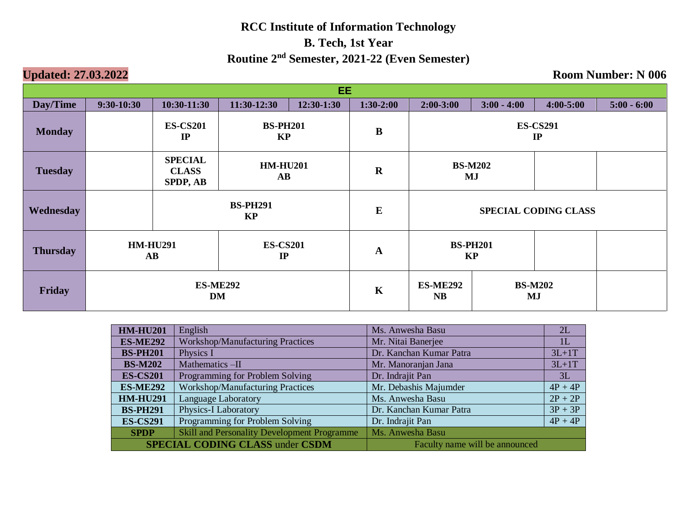| EE.             |                       |                                                                    |                                           |             |                              |                             |                       |               |               |
|-----------------|-----------------------|--------------------------------------------------------------------|-------------------------------------------|-------------|------------------------------|-----------------------------|-----------------------|---------------|---------------|
| Day/Time        | $9:30-10:30$          | $10:30-11:30$                                                      | 11:30-12:30                               | 12:30-1:30  | $1:30-2:00$                  | $2:00-3:00$                 | $3:00 - 4:00$         | $4:00 - 5:00$ | $5:00 - 6:00$ |
| <b>Monday</b>   |                       | <b>ES-CS201</b><br>$_{\rm IP}$                                     | <b>BS-PH201</b><br>KP                     |             | $\bf{B}$                     |                             | <b>ES-CS291</b><br>IP |               |               |
| <b>Tuesday</b>  |                       | <b>SPECIAL</b><br><b>CLASS</b><br><b>SPDP, AB</b>                  | <b>HM-HU201</b><br>$\mathbf{A}\mathbf{B}$ |             | $\mathbf R$                  | <b>BS-M202</b><br>MJ        |                       |               |               |
| Wednesday       |                       | <b>BS-PH291</b><br><b>KP</b>                                       |                                           |             | $\bf{E}$                     | <b>SPECIAL CODING CLASS</b> |                       |               |               |
| <b>Thursday</b> |                       | <b>HM-HU291</b><br><b>ES-CS201</b><br>IP<br>$\mathbf{A}\mathbf{B}$ |                                           | $\mathbf A$ | <b>BS-PH201</b><br><b>KP</b> |                             |                       |               |               |
| Friday          | <b>ES-ME292</b><br>DM |                                                                    |                                           | $\mathbf K$ | <b>ES-ME292</b><br><b>NB</b> |                             | <b>BS-M202</b><br>MJ  |               |               |

| <b>HM-HU201</b> | English                                            | Ms. Anwesha Basu               | 2L        |
|-----------------|----------------------------------------------------|--------------------------------|-----------|
| <b>ES-ME292</b> | <b>Workshop/Manufacturing Practices</b>            | Mr. Nitai Banerjee             | 1L        |
| <b>BS-PH201</b> | Physics I                                          | Dr. Kanchan Kumar Patra        | $3L+1T$   |
| <b>BS-M202</b>  | Mathematics-II                                     | Mr. Manoranjan Jana            | $3L+1T$   |
| <b>ES-CS201</b> | Programming for Problem Solving                    | Dr. Indrajit Pan               | 3L        |
| <b>ES-ME292</b> | <b>Workshop/Manufacturing Practices</b>            | Mr. Debashis Majumder          | $4P + 4P$ |
| <b>HM-HU291</b> | <b>Language Laboratory</b>                         | Ms. Anwesha Basu               | $2P + 2P$ |
| <b>BS-PH291</b> | Physics-I Laboratory                               | Dr. Kanchan Kumar Patra        | $3P + 3P$ |
| <b>ES-CS291</b> | Programming for Problem Solving                    | Dr. Indrajit Pan               | $4P + 4P$ |
| <b>SPDP</b>     | <b>Skill and Personality Development Programme</b> | Ms. Anwesha Basu               |           |
|                 | <b>SPECIAL CODING CLASS under CSDM</b>             | Faculty name will be announced |           |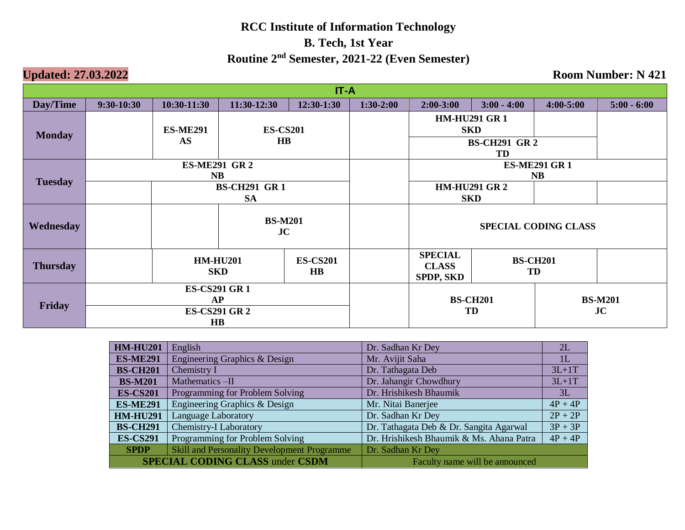| IT-A             |                                   |                               |                                           |                              |             |                                                          |                       |                      |               |
|------------------|-----------------------------------|-------------------------------|-------------------------------------------|------------------------------|-------------|----------------------------------------------------------|-----------------------|----------------------|---------------|
| Day/Time         | $9:30-10:30$                      | 10:30-11:30                   | 11:30-12:30                               | 12:30-1:30                   | $1:30-2:00$ | $2:00-3:00$                                              | $3:00 - 4:00$         | $4:00 - 5:00$        | $5:00 - 6:00$ |
| <b>Monday</b>    |                                   | <b>ES-ME291</b><br>AS         | <b>ES-CS201</b><br>$\mathbf{H}\mathbf{B}$ |                              |             | <b>HM-HU291 GR1</b><br><b>SKD</b><br><b>BS-CH291 GR2</b> |                       |                      |               |
|                  |                                   |                               |                                           |                              |             |                                                          | TD                    |                      |               |
| <b>Tuesday</b>   | <b>ES-ME291 GR 2</b><br><b>NB</b> |                               |                                           |                              |             | <b>ES-ME291 GR1</b><br><b>NB</b>                         |                       |                      |               |
|                  | <b>BS-CH291 GR1</b><br><b>SA</b>  |                               |                                           |                              |             | <b>HM-HU291 GR 2</b><br><b>SKD</b>                       |                       |                      |               |
| <b>Wednesday</b> |                                   | <b>BS-M201</b><br>JC          |                                           |                              |             | <b>SPECIAL CODING CLASS</b>                              |                       |                      |               |
| <b>Thursday</b>  |                                   | <b>HM-HU201</b><br><b>SKD</b> |                                           | <b>ES-CS201</b><br>$\bf{HB}$ |             | <b>SPECIAL</b><br><b>CLASS</b><br><b>SPDP, SKD</b>       | <b>BS-CH201</b><br>TD |                      |               |
| Friday           | <b>ES-CS291 GR1</b>               |                               |                                           |                              |             |                                                          |                       |                      |               |
|                  | AP<br><b>ES-CS291 GR 2</b>        |                               |                                           |                              |             | <b>BS-CH201</b><br>TD                                    |                       | <b>BS-M201</b><br>JC |               |
|                  | $\mathbf{H}\mathbf{B}$            |                               |                                           |                              |             |                                                          |                       |                      |               |

| <b>HM-HU201</b>                        | English                                            | Dr. Sadhan Kr Dey                        | 2L        |  |  |
|----------------------------------------|----------------------------------------------------|------------------------------------------|-----------|--|--|
| <b>ES-ME291</b>                        | Engineering Graphics & Design                      | Mr. Avijit Saha                          | 1L        |  |  |
| <b>BS-CH201</b>                        | Chemistry I                                        | Dr. Tathagata Deb                        | $3L+1T$   |  |  |
| <b>BS-M201</b>                         | Mathematics -II                                    | Dr. Jahangir Chowdhury                   | $3L+1T$   |  |  |
| <b>ES-CS201</b>                        | Programming for Problem Solving                    | Dr. Hrishikesh Bhaumik                   | 3L        |  |  |
| <b>ES-ME291</b>                        | Engineering Graphics & Design                      | Mr. Nitai Banerjee                       | $4P + 4P$ |  |  |
| <b>HM-HU291</b>                        | <b>Language Laboratory</b>                         | Dr. Sadhan Kr Dey                        | $2P + 2P$ |  |  |
| <b>BS-CH291</b>                        | <b>Chemistry-I Laboratory</b>                      | Dr. Tathagata Deb & Dr. Sangita Agarwal  | $3P + 3P$ |  |  |
| <b>ES-CS291</b>                        | Programming for Problem Solving                    | Dr. Hrishikesh Bhaumik & Ms. Ahana Patra | $4P + 4P$ |  |  |
| <b>SPDP</b>                            | <b>Skill and Personality Development Programme</b> | Dr. Sadhan Kr Dey                        |           |  |  |
| <b>SPECIAL CODING CLASS under CSDM</b> |                                                    | Faculty name will be announced           |           |  |  |